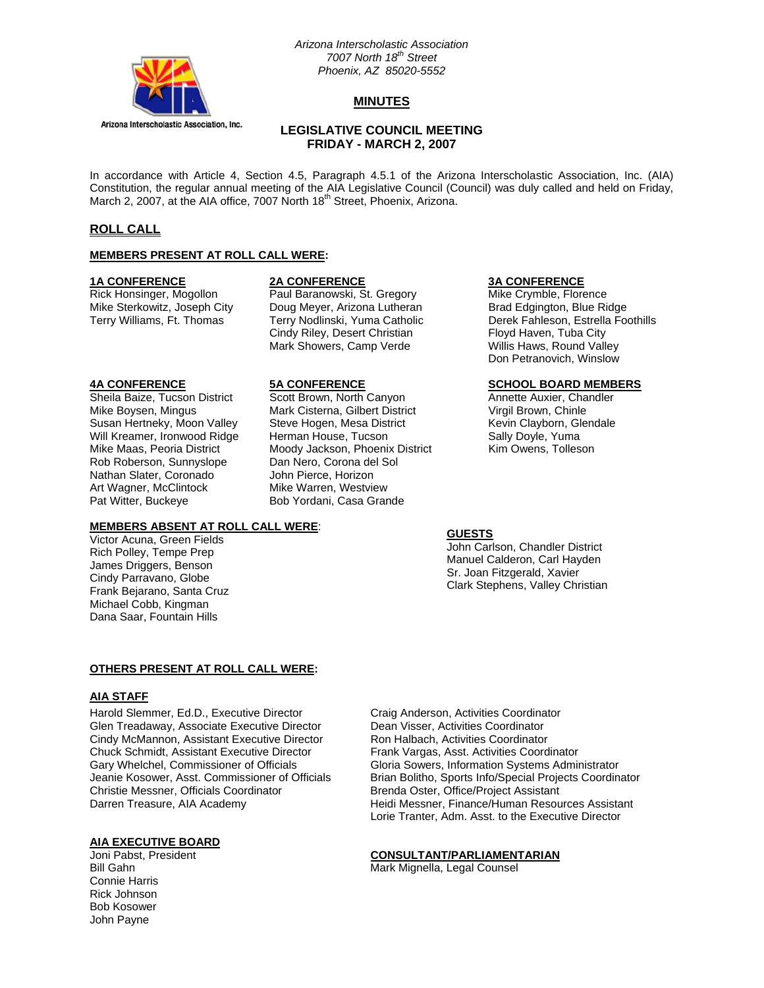

## *Arizona Interscholastic Association 7007 North 18th Street Phoenix, AZ 85020-5552*

## **MINUTES**

## **LEGISLATIVE COUNCIL MEETING FRIDAY - MARCH 2, 2007**

In accordance with Article 4, Section 4.5, Paragraph 4.5.1 of the Arizona Interscholastic Association, Inc. (AIA) Constitution, the regular annual meeting of the AIA Legislative Council (Council) was duly called and held on Friday, March 2, 2007, at the AIA office, 7007 North 18<sup>th</sup> Street, Phoenix, Arizona.

## **ROLL CALL**

#### **MEMBERS PRESENT AT ROLL CALL WERE:**

**1A CONFERENCE 2A CONFERENCE 3A CONFERENCE**

Rick Honsinger, Mogollon **Paul Baranowski, St. Gregory** Mike Crymble, Florence Mike Sterkowitz, Joseph City Doug Meyer, Arizona Lutheran Brad Edgington, Blue Ridge Doug Meyer, Arizona Lutheran Cindy Riley, Desert Christian Floyd Haven, Tuba City Mark Showers, Camp Verde Willis Haws, Round Valley

Rob Roberson, Sunnyslope Dan Nero, Corona del Sol Nathan Slater, Coronado John Pierce, Horizon Art Wagner, McClintock Mike Warren, Westview Pat Witter, Buckeye Bob Yordani, Casa Grande

## **MEMBERS ABSENT AT ROLL CALL WERE**:

Victor Acuna, Green Fields Rich Polley, Tempe Prep James Driggers, Benson Cindy Parravano, Globe Frank Bejarano, Santa Cruz Michael Cobb, Kingman Dana Saar, Fountain Hills

Sheila Baize, Tucson District Scott Brown, North Canyon **Annette Auxier, Chandler**<br>Mike Boysen, Mingus **Mark Cisterna, Gilbert District** Virgil Brown, Chinle Mike Boysen, Mingus Mark Cisterna, Gilbert District Susan Hertneky, Moon Valley Steve Hogen, Mesa District **Kevin Clayborn, Glendale** Will Kreamer, Ironwood Ridge Herman House, Tucson Sally Doyle, Yuma Mike Maas, Peoria District Moody Jackson, Phoenix District Kim Owens, Tolleson

Terry Williams, Ft. Thomas Terry Nodlinski, Yuma Catholic Derek Fahleson, Estrella Foothills Don Petranovich, Winslow

## **4A CONFERENCE 5A CONFERENCE SCHOOL BOARD MEMBERS**

## **GUESTS**

John Carlson, Chandler District Manuel Calderon, Carl Hayden Sr. Joan Fitzgerald, Xavier Clark Stephens, Valley Christian

## **OTHERS PRESENT AT ROLL CALL WERE:**

## **AIA STAFF**

Harold Slemmer, Ed.D., Executive Director Craig Anderson, Activities Coordinator<br>Glen Treadaway, Associate Executive Director Dean Visser, Activities Coordinator Glen Treadaway, Associate Executive Director Cindy McMannon, Assistant Executive Director Ron Halbach, Activities Coordinator Chuck Schmidt, Assistant Executive Director Frank Vargas, Asst. Activities Coordinator Christie Messner, Officials Coordinator Brenda Oster, Office/Project Assistant

# **AIA EXECUTIVE BOARD**

Connie Harris Rick Johnson Bob Kosower John Payne

Gary Whelchel, Commissioner of Officials Gloria Sowers, Information Systems Administrator<br>Jeanie Kosower, Asst. Commissioner of Officials Brian Bolitho, Sports Info/Special Projects Coordin Brian Bolitho, Sports Info/Special Projects Coordinator Darren Treasure, AIA Academy etter and Heidi Messner, Finance/Human Resources Assistant Lorie Tranter, Adm. Asst. to the Executive Director

## Joni Pabst, President **CONSULTANT/PARLIAMENTARIAN**

Bill Gahn **Mark Mignella, Legal Counsel**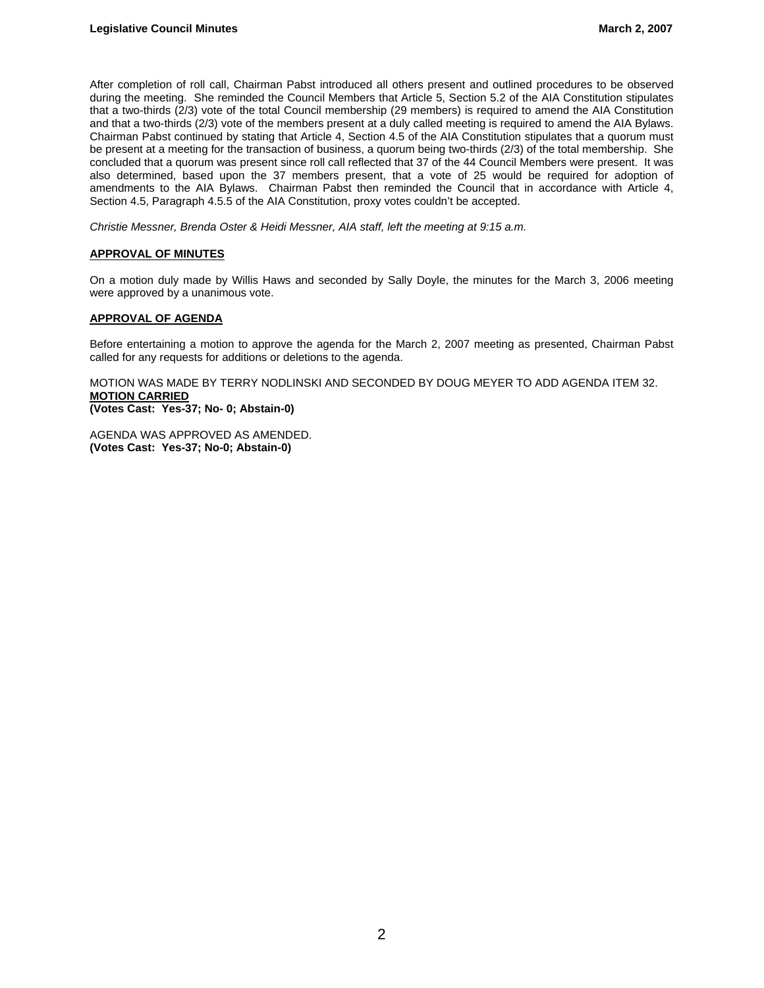After completion of roll call, Chairman Pabst introduced all others present and outlined procedures to be observed during the meeting. She reminded the Council Members that Article 5, Section 5.2 of the AIA Constitution stipulates that a two-thirds (2/3) vote of the total Council membership (29 members) is required to amend the AIA Constitution and that a two-thirds (2/3) vote of the members present at a duly called meeting is required to amend the AIA Bylaws. Chairman Pabst continued by stating that Article 4, Section 4.5 of the AIA Constitution stipulates that a quorum must be present at a meeting for the transaction of business, a quorum being two-thirds (2/3) of the total membership. She concluded that a quorum was present since roll call reflected that 37 of the 44 Council Members were present. It was also determined, based upon the 37 members present, that a vote of 25 would be required for adoption of amendments to the AIA Bylaws. Chairman Pabst then reminded the Council that in accordance with Article 4, Section 4.5, Paragraph 4.5.5 of the AIA Constitution, proxy votes couldn't be accepted.

*Christie Messner, Brenda Oster & Heidi Messner, AIA staff, left the meeting at 9:15 a.m.* 

## **APPROVAL OF MINUTES**

On a motion duly made by Willis Haws and seconded by Sally Doyle, the minutes for the March 3, 2006 meeting were approved by a unanimous vote.

## **APPROVAL OF AGENDA**

Before entertaining a motion to approve the agenda for the March 2, 2007 meeting as presented, Chairman Pabst called for any requests for additions or deletions to the agenda.

MOTION WAS MADE BY TERRY NODLINSKI AND SECONDED BY DOUG MEYER TO ADD AGENDA ITEM 32. **MOTION CARRIED (Votes Cast: Yes-37; No- 0; Abstain-0)** 

AGENDA WAS APPROVED AS AMENDED. **(Votes Cast: Yes-37; No-0; Abstain-0)**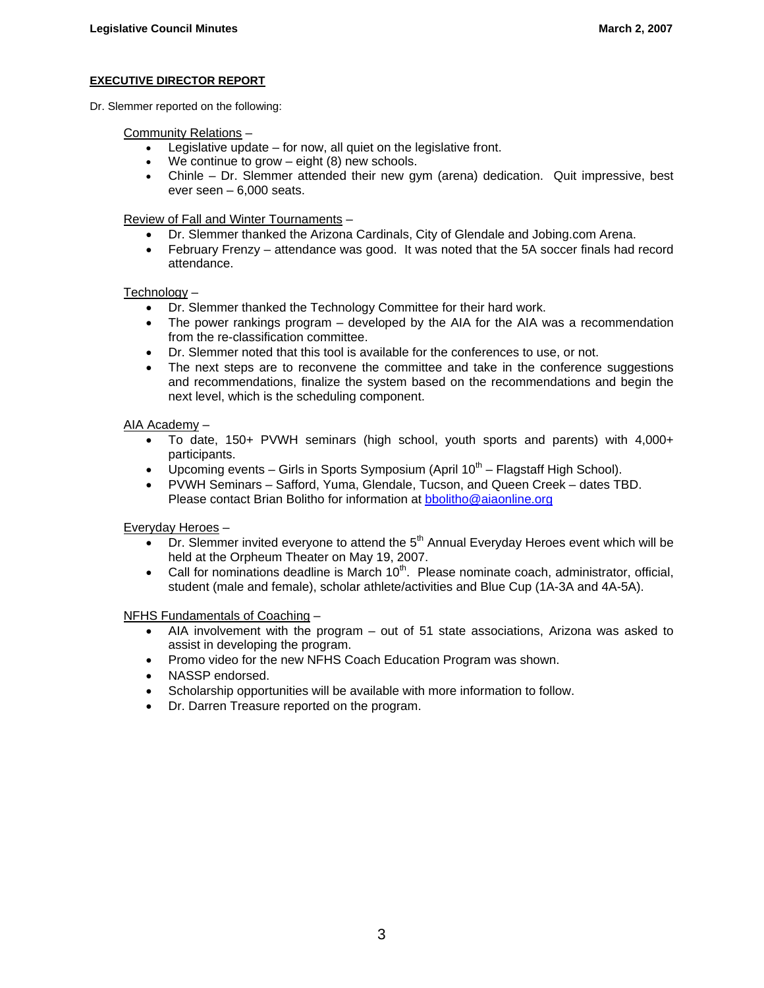## **EXECUTIVE DIRECTOR REPORT**

Dr. Slemmer reported on the following:

Community Relations –

- Legislative update  $-$  for now, all quiet on the legislative front.
- We continue to grow  $-$  eight  $(8)$  new schools.
- Chinle Dr. Slemmer attended their new gym (arena) dedication. Quit impressive, best ever seen  $-6,000$  seats.

Review of Fall and Winter Tournaments –

- Dr. Slemmer thanked the Arizona Cardinals, City of Glendale and Jobing.com Arena.
- February Frenzy attendance was good. It was noted that the 5A soccer finals had record attendance.

## Technology –

- Dr. Slemmer thanked the Technology Committee for their hard work.
- The power rankings program developed by the AIA for the AIA was a recommendation from the re-classification committee.
- Dr. Slemmer noted that this tool is available for the conferences to use, or not.
- The next steps are to reconvene the committee and take in the conference suggestions and recommendations, finalize the system based on the recommendations and begin the next level, which is the scheduling component.

## AIA Academy –

- To date, 150+ PVWH seminars (high school, youth sports and parents) with 4,000+ participants.
- Upcoming events Girls in Sports Symposium (April  $10^{th}$  Flagstaff High School).
- PVWH Seminars Safford, Yuma, Glendale, Tucson, and Queen Creek dates TBD. Please contact Brian Bolitho for information at bbolitho@aiaonline.org

Everyday Heroes –

- $\overline{p}$  Dr. Slemmer invited everyone to attend the  $5<sup>th</sup>$  Annual Everyday Heroes event which will be held at the Orpheum Theater on May 19, 2007.
- Call for nominations deadline is March  $10<sup>th</sup>$ . Please nominate coach, administrator, official, student (male and female), scholar athlete/activities and Blue Cup (1A-3A and 4A-5A).

NFHS Fundamentals of Coaching –

- AIA involvement with the program out of 51 state associations, Arizona was asked to assist in developing the program.
- Promo video for the new NFHS Coach Education Program was shown.
- NASSP endorsed.
- Scholarship opportunities will be available with more information to follow.
- Dr. Darren Treasure reported on the program.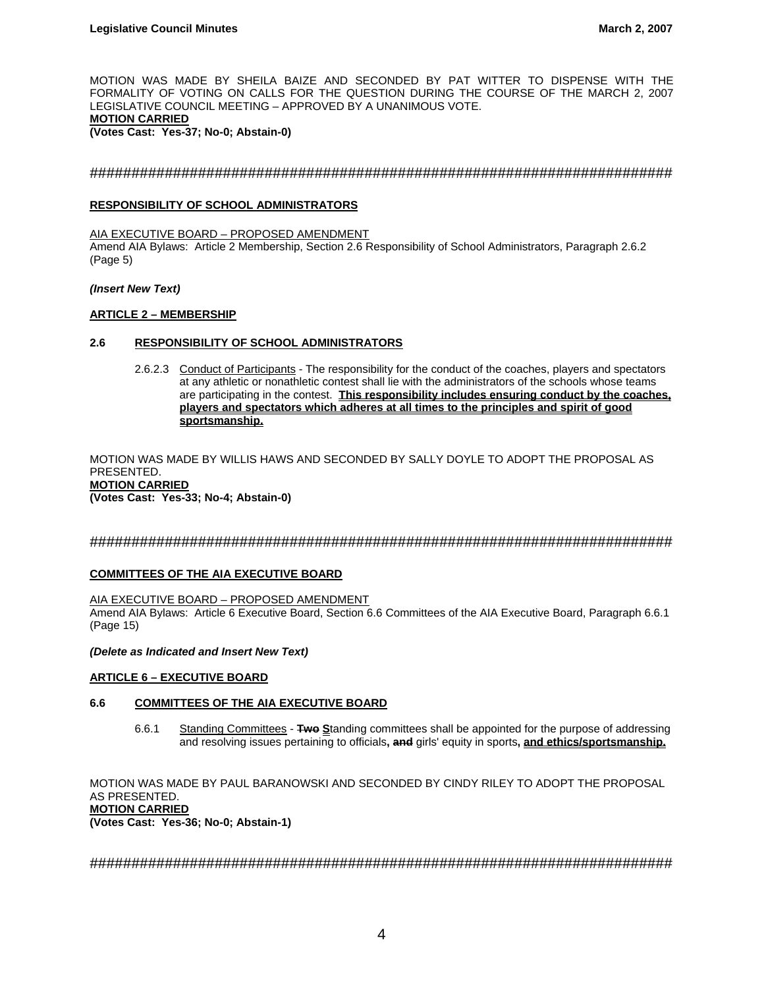MOTION WAS MADE BY SHEILA BAIZE AND SECONDED BY PAT WITTER TO DISPENSE WITH THE FORMALITY OF VOTING ON CALLS FOR THE QUESTION DURING THE COURSE OF THE MARCH 2, 2007 LEGISLATIVE COUNCIL MEETING – APPROVED BY A UNANIMOUS VOTE. **MOTION CARRIED (Votes Cast: Yes-37; No-0; Abstain-0)** 

## ######################################################################

## **RESPONSIBILITY OF SCHOOL ADMINISTRATORS**

AIA EXECUTIVE BOARD – PROPOSED AMENDMENT Amend AIA Bylaws: Article 2 Membership, Section 2.6 Responsibility of School Administrators, Paragraph 2.6.2 (Page 5)

#### *(Insert New Text)*

## **ARTICLE 2 – MEMBERSHIP**

## **2.6 RESPONSIBILITY OF SCHOOL ADMINISTRATORS**

2.6.2.3 Conduct of Participants - The responsibility for the conduct of the coaches, players and spectators at any athletic or nonathletic contest shall lie with the administrators of the schools whose teams are participating in the contest. **This responsibility includes ensuring conduct by the coaches, players and spectators which adheres at all times to the principles and spirit of good sportsmanship.**

MOTION WAS MADE BY WILLIS HAWS AND SECONDED BY SALLY DOYLE TO ADOPT THE PROPOSAL AS PRESENTED. **MOTION CARRIED (Votes Cast: Yes-33; No-4; Abstain-0)** 

## ######################################################################

## **COMMITTEES OF THE AIA EXECUTIVE BOARD**

#### AIA EXECUTIVE BOARD – PROPOSED AMENDMENT

Amend AIA Bylaws: Article 6 Executive Board, Section 6.6 Committees of the AIA Executive Board, Paragraph 6.6.1 (Page 15)

#### *(Delete as Indicated and Insert New Text)*

#### **ARTICLE 6 – EXECUTIVE BOARD**

## **6.6 COMMITTEES OF THE AIA EXECUTIVE BOARD**

 6.6.1 Standing Committees - **Two S**tanding committees shall be appointed for the purpose of addressing and resolving issues pertaining to officials**, and** girls' equity in sports**, and ethics/sportsmanship.**

MOTION WAS MADE BY PAUL BARANOWSKI AND SECONDED BY CINDY RILEY TO ADOPT THE PROPOSAL AS PRESENTED. **MOTION CARRIED (Votes Cast: Yes-36; No-0; Abstain-1)**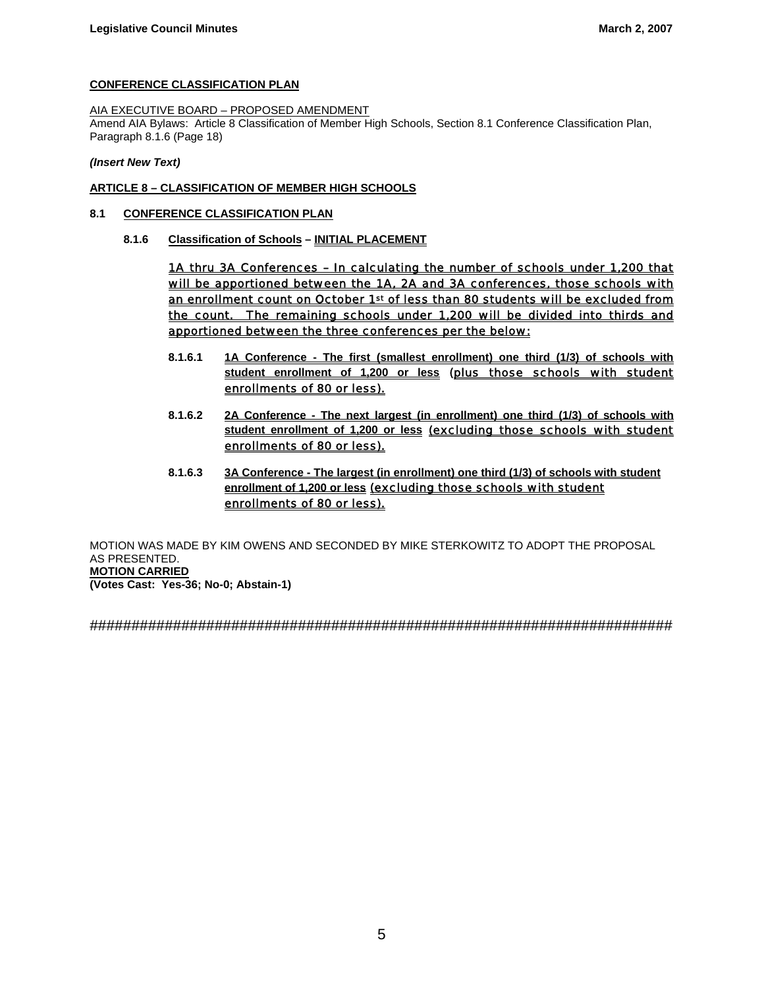## **CONFERENCE CLASSIFICATION PLAN**

## AIA EXECUTIVE BOARD – PROPOSED AMENDMENT

Amend AIA Bylaws: Article 8 Classification of Member High Schools, Section 8.1 Conference Classification Plan, Paragraph 8.1.6 (Page 18)

*(Insert New Text)* 

## **ARTICLE 8 – CLASSIFICATION OF MEMBER HIGH SCHOOLS**

## **8.1 CONFERENCE CLASSIFICATION PLAN**

 **8.1.6 Classification of Schools – INITIAL PLACEMENT**

1A thru 3A Conferences – In calculating the number of schools under 1,200 that will be apportioned between the 1A, 2A and 3A conferences, those schools with an enrollment count on October 1st of less than 80 students will be excluded from the count. The remaining schools under 1,200 will be divided into thirds and apportioned between the three conferences per the below:

- **8.1.6.1 1A Conference The first (smallest enrollment) one third (1/3) of schools with student enrollment of 1,200 or less** (plus those schools with student enrollments of 80 or less).
- **8.1.6.2 2A Conference The next largest (in enrollment) one third (1/3) of schools with student enrollment of 1,200 or less** (excluding those schools with student enrollments of 80 or less).
- **8.1.6.3 3A Conference The largest (in enrollment) one third (1/3) of schools with student enrollment of 1,200 or less** (excluding those schools with student enrollments of 80 or less).

MOTION WAS MADE BY KIM OWENS AND SECONDED BY MIKE STERKOWITZ TO ADOPT THE PROPOSAL AS PRESENTED. **MOTION CARRIED (Votes Cast: Yes-36; No-0; Abstain-1)**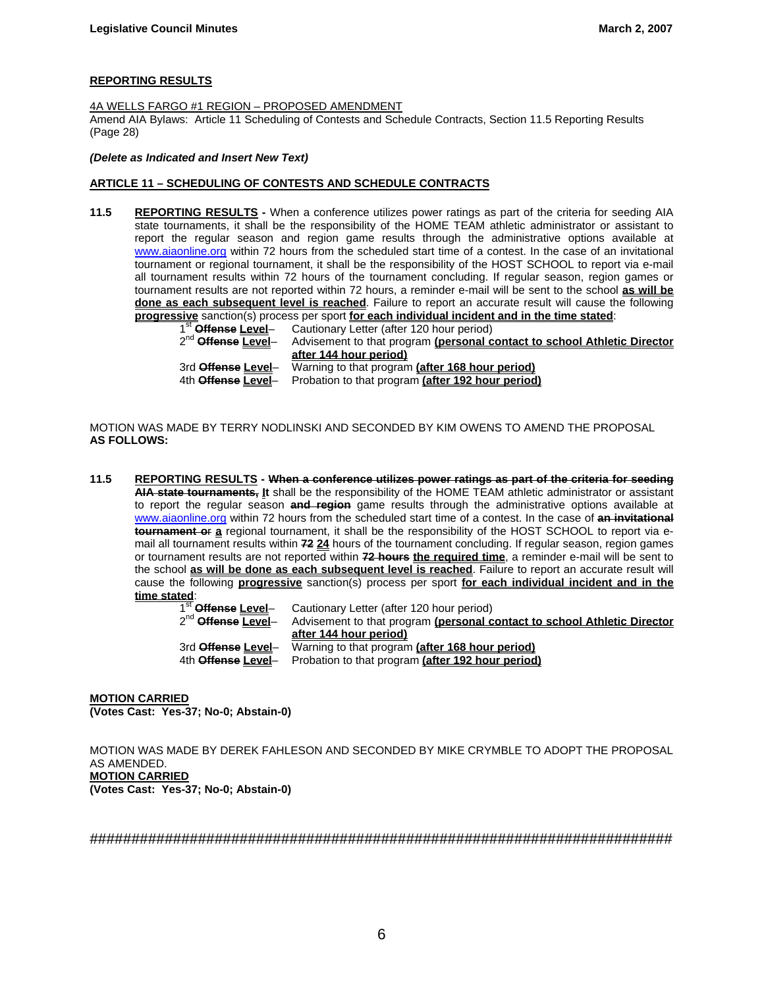## **REPORTING RESULTS**

4A WELLS FARGO #1 REGION – PROPOSED AMENDMENT Amend AIA Bylaws: Article 11 Scheduling of Contests and Schedule Contracts, Section 11.5 Reporting Results (Page 28)

*(Delete as Indicated and Insert New Text)* 

#### **ARTICLE 11 – SCHEDULING OF CONTESTS AND SCHEDULE CONTRACTS**

**11.5 REPORTING RESULTS -** When a conference utilizes power ratings as part of the criteria for seeding AIA state tournaments, it shall be the responsibility of the HOME TEAM athletic administrator or assistant to report the regular season and region game results through the administrative options available at www.aiaonline.org within 72 hours from the scheduled start time of a contest. In the case of an invitational tournament or regional tournament, it shall be the responsibility of the HOST SCHOOL to report via e-mail all tournament results within 72 hours of the tournament concluding. If regular season, region games or tournament results are not reported within 72 hours, a reminder e-mail will be sent to the school **as will be done as each subsequent level is reached**. Failure to report an accurate result will cause the following

**progressive** sanction(s) process per sport **for each individual incident and in the time stated:**<br>1<sup>st</sup> **Offense <u>Level</u>-Cautionary Letter (after 120 hour period)<br>2<sup>nd</sup> Offense Level-Cadvisement to that program (personal** Cautionary Letter (after 120 hour period) Advisement to that program (personal contact to school Athletic Director **after 144 hour period)** 3rd **Offense Level**– Warning to that program **(after 168 hour period)** 4th **Offense Level**– Probation to that program **(after 192 hour period)**

MOTION WAS MADE BY TERRY NODLINSKI AND SECONDED BY KIM OWENS TO AMEND THE PROPOSAL **AS FOLLOWS:** 

**11.5 REPORTING RESULTS - When a conference utilizes power ratings as part of the criteria for seeding AIA state tournaments, It** shall be the responsibility of the HOME TEAM athletic administrator or assistant to report the regular season **and region** game results through the administrative options available at www.aiaonline.org within 72 hours from the scheduled start time of a contest. In the case of **an invitational tournament o**r **a** regional tournament, it shall be the responsibility of the HOST SCHOOL to report via email all tournament results within **72 24** hours of the tournament concluding. If regular season, region games or tournament results are not reported within **72 hours the required time**, a reminder e-mail will be sent to the school **as will be done as each subsequent level is reached**. Failure to report an accurate result will cause the following **progressive** sanction(s) process per sport **for each individual incident and in the time stated**:

1<sup>st</sup> Offense Level– Cautionary Letter (after 120 hour period)<br>2<sup>nd</sup> Offense Level– Advisement to that program (personal co Advisement to that program (**personal contact to school Athletic Director after 144 hour period)** 3rd **Offense Level**– Warning to that program **(after 168 hour period)** 4th **Offense Level**– Probation to that program **(after 192 hour period)**

**MOTION CARRIED (Votes Cast: Yes-37; No-0; Abstain-0)** 

MOTION WAS MADE BY DEREK FAHLESON AND SECONDED BY MIKE CRYMBLE TO ADOPT THE PROPOSAL AS AMENDED. **MOTION CARRIED (Votes Cast: Yes-37; No-0; Abstain-0)**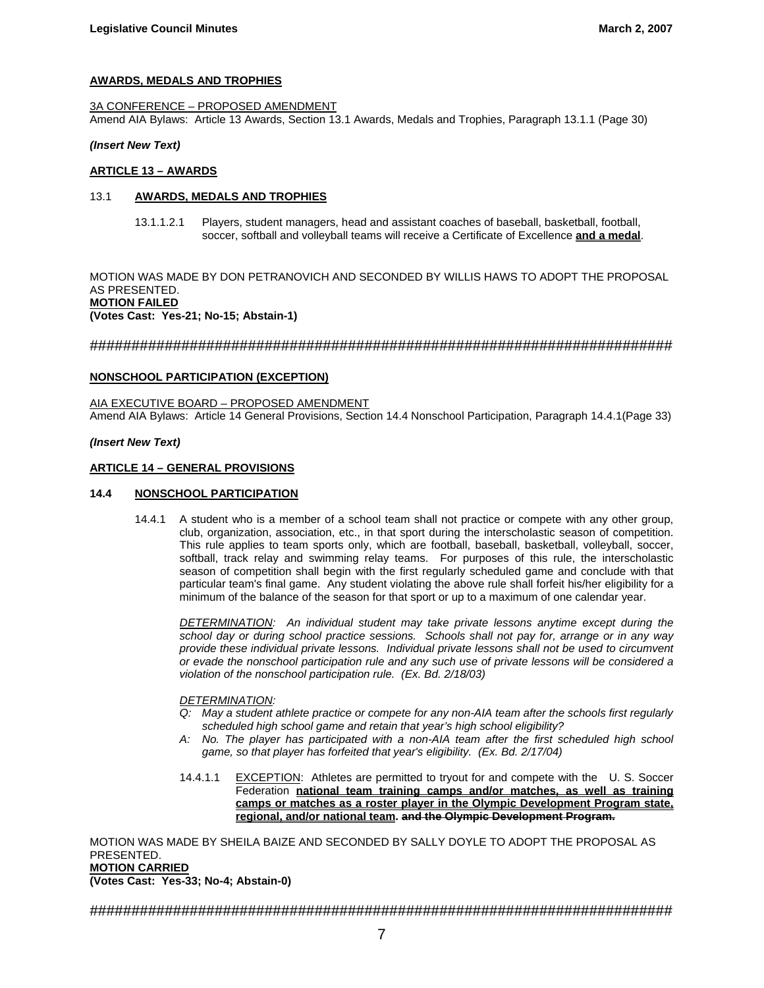#### **AWARDS, MEDALS AND TROPHIES**

3A CONFERENCE – PROPOSED AMENDMENT Amend AIA Bylaws: Article 13 Awards, Section 13.1 Awards, Medals and Trophies, Paragraph 13.1.1 (Page 30)

#### *(Insert New Text)*

#### **ARTICLE 13 – AWARDS**

#### 13.1 **AWARDS, MEDALS AND TROPHIES**

13.1.1.2.1 Players, student managers, head and assistant coaches of baseball, basketball, football, soccer, softball and volleyball teams will receive a Certificate of Excellence **and a medal**.

MOTION WAS MADE BY DON PETRANOVICH AND SECONDED BY WILLIS HAWS TO ADOPT THE PROPOSAL AS PRESENTED. **MOTION FAILED (Votes Cast: Yes-21; No-15; Abstain-1)**

## ######################################################################

#### **NONSCHOOL PARTICIPATION (EXCEPTION)**

AIA EXECUTIVE BOARD – PROPOSED AMENDMENT Amend AIA Bylaws: Article 14 General Provisions, Section 14.4 Nonschool Participation, Paragraph 14.4.1(Page 33)

#### *(Insert New Text)*

#### **ARTICLE 14 – GENERAL PROVISIONS**

#### **14.4 NONSCHOOL PARTICIPATION**

 14.4.1 A student who is a member of a school team shall not practice or compete with any other group, club, organization, association, etc., in that sport during the interscholastic season of competition. This rule applies to team sports only, which are football, baseball, basketball, volleyball, soccer, softball, track relay and swimming relay teams. For purposes of this rule, the interscholastic season of competition shall begin with the first regularly scheduled game and conclude with that particular team's final game. Any student violating the above rule shall forfeit his/her eligibility for a minimum of the balance of the season for that sport or up to a maximum of one calendar year.

*DETERMINATION: An individual student may take private lessons anytime except during the school day or during school practice sessions. Schools shall not pay for, arrange or in any way provide these individual private lessons. Individual private lessons shall not be used to circumvent or evade the nonschool participation rule and any such use of private lessons will be considered a violation of the nonschool participation rule. (Ex. Bd. 2/18/03)* 

#### *DETERMINATION:*

- *Q: May a student athlete practice or compete for any non-AIA team after the schools first regularly scheduled high school game and retain that year's high school eligibility?*
- *A: No. The player has participated with a non-AIA team after the first scheduled high school game, so that player has forfeited that year's eligibility. (Ex. Bd. 2/17/04)*
- 14.4.1.1 EXCEPTION: Athletes are permitted to tryout for and compete with the U. S. Soccer Federation **national team training camps and/or matches, as well as training camps or matches as a roster player in the Olympic Development Program state, regional, and/or national team. and the Olympic Development Program.**

MOTION WAS MADE BY SHEILA BAIZE AND SECONDED BY SALLY DOYLE TO ADOPT THE PROPOSAL AS PRESENTED. **MOTION CARRIED** 

**(Votes Cast: Yes-33; No-4; Abstain-0)**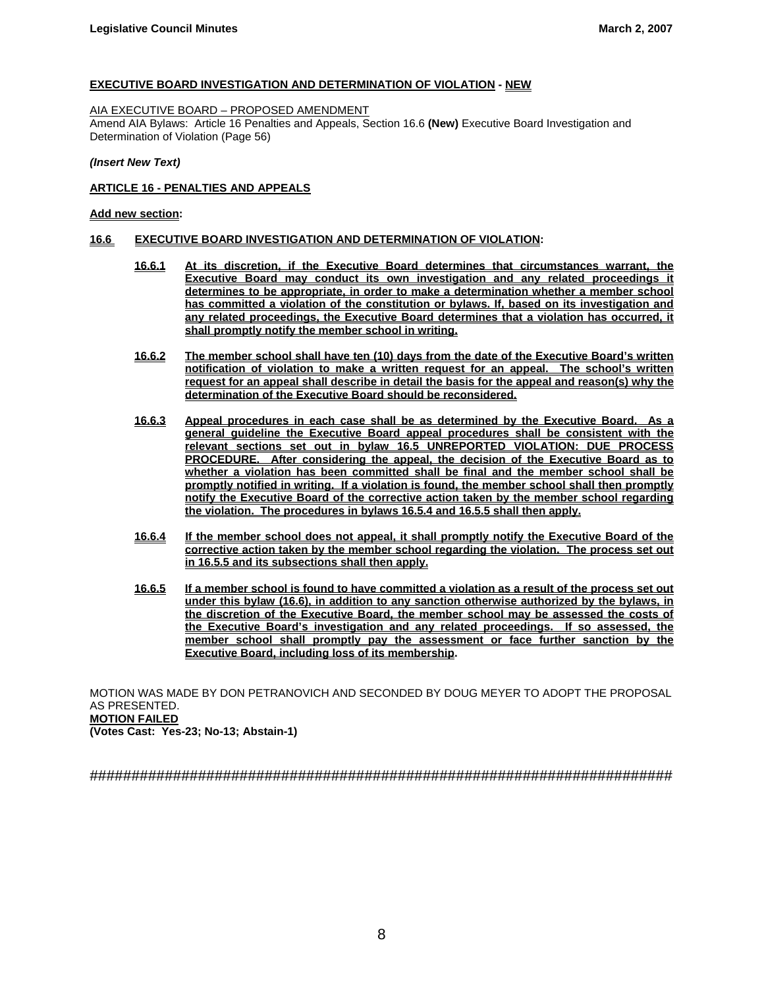## **EXECUTIVE BOARD INVESTIGATION AND DETERMINATION OF VIOLATION - NEW**

#### AIA EXECUTIVE BOARD – PROPOSED AMENDMENT

Amend AIA Bylaws: Article 16 Penalties and Appeals, Section 16.6 **(New)** Executive Board Investigation and Determination of Violation (Page 56)

*(Insert New Text)* 

#### **ARTICLE 16 - PENALTIES AND APPEALS**

#### **Add new section:**

## **16.6 EXECUTIVE BOARD INVESTIGATION AND DETERMINATION OF VIOLATION:**

- **16.6.1 At its discretion, if the Executive Board determines that circumstances warrant, the Executive Board may conduct its own investigation and any related proceedings it determines to be appropriate, in order to make a determination whether a member school has committed a violation of the constitution or bylaws. If, based on its investigation and any related proceedings, the Executive Board determines that a violation has occurred, it shall promptly notify the member school in writing.**
- **16.6.2 The member school shall have ten (10) days from the date of the Executive Board's written notification of violation to make a written request for an appeal. The school's written request for an appeal shall describe in detail the basis for the appeal and reason(s) why the determination of the Executive Board should be reconsidered.**
- **16.6.3** Appeal procedures in each case shall be as determined by the Executive Board. **general guideline the Executive Board appeal procedures shall be consistent with the relevant sections set out in bylaw 16.5 UNREPORTED VIOLATION: DUE PROCESS PROCEDURE. After considering the appeal, the decision of the Executive Board as to whether a violation has been committed shall be final and the member school shall be promptly notified in writing. If a violation is found, the member school shall then promptly notify the Executive Board of the corrective action taken by the member school regarding the violation. The procedures in bylaws 16.5.4 and 16.5.5 shall then apply.**
- **16.6.4 If the member school does not appeal, it shall promptly notify the Executive Board of the corrective action taken by the member school regarding the violation. The process set out in 16.5.5 and its subsections shall then apply.**
- **16.6.5 If a member school is found to have committed a violation as a result of the process set out under this bylaw (16.6), in addition to any sanction otherwise authorized by the bylaws, in the discretion of the Executive Board, the member school may be assessed the costs of the Executive Board's investigation and any related proceedings. If so assessed, the member school shall promptly pay the assessment or face further sanction by the Executive Board, including loss of its membership.**

MOTION WAS MADE BY DON PETRANOVICH AND SECONDED BY DOUG MEYER TO ADOPT THE PROPOSAL AS PRESENTED. **MOTION FAILED** 

**(Votes Cast: Yes-23; No-13; Abstain-1)**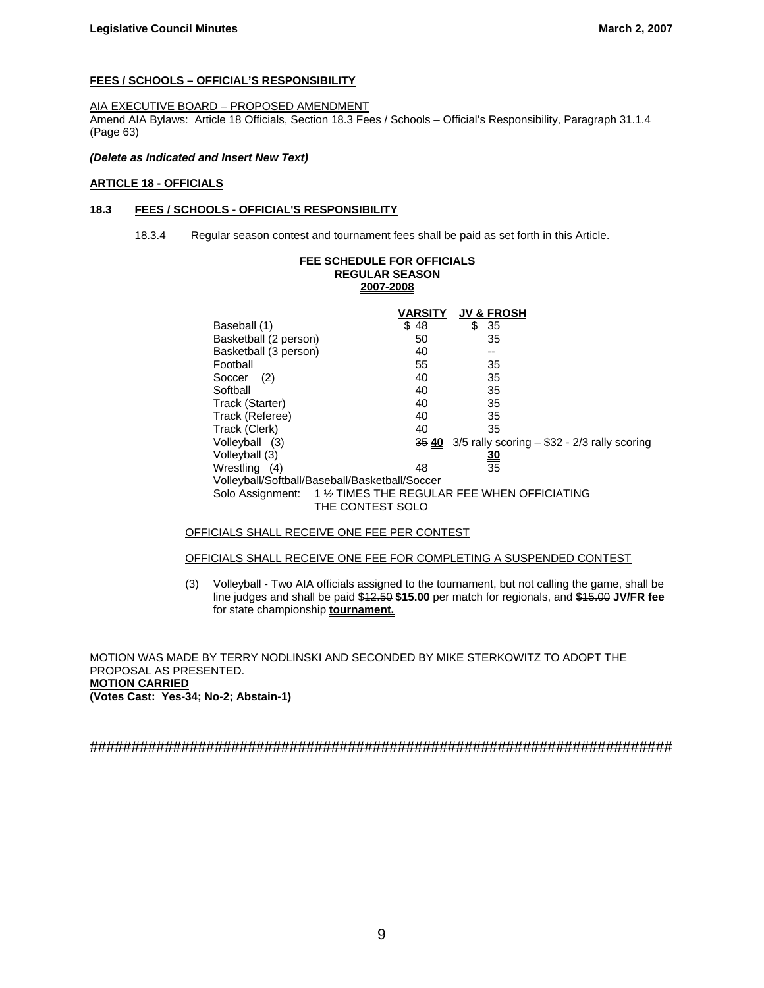## **FEES / SCHOOLS – OFFICIAL'S RESPONSIBILITY**

#### AIA EXECUTIVE BOARD – PROPOSED AMENDMENT

Amend AIA Bylaws: Article 18 Officials, Section 18.3 Fees / Schools – Official's Responsibility, Paragraph 31.1.4 (Page 63)

#### *(Delete as Indicated and Insert New Text)*

## **ARTICLE 18 - OFFICIALS**

## **18.3 FEES / SCHOOLS - OFFICIAL'S RESPONSIBILITY**

18.3.4 Regular season contest and tournament fees shall be paid as set forth in this Article.

| <b>FEE SCHEDULE FOR OFFICIALS</b>                                                 | <b>REGULAR SEASON</b><br>2007-2008 |                                                                |
|-----------------------------------------------------------------------------------|------------------------------------|----------------------------------------------------------------|
|                                                                                   | VARSITY                            | <b>JV &amp; FROSH</b>                                          |
| Baseball (1)                                                                      | \$48                               | \$<br>35                                                       |
| Basketball (2 person)                                                             | 50                                 | 35                                                             |
| Basketball (3 person)                                                             | 40                                 |                                                                |
| Football                                                                          | 55                                 | 35                                                             |
| Soccer<br>(2)                                                                     | 40                                 | 35                                                             |
| Softball                                                                          | 40                                 | 35                                                             |
| Track (Starter)                                                                   | 40                                 | 35                                                             |
| Track (Referee)                                                                   | 40                                 | 35                                                             |
| Track (Clerk)                                                                     | 40                                 | 35                                                             |
| Volleyball (3)                                                                    |                                    | $\frac{35}{40}$ 3/5 rally scoring $-$ \$32 - 2/3 rally scoring |
| Volleyball (3)                                                                    |                                    |                                                                |
| Wrestling (4)                                                                     | 48                                 | $\frac{30}{35}$                                                |
| Volleyball/Softball/Baseball/Basketball/Soccer                                    |                                    |                                                                |
| Solo Assignment: 1 1/2 TIMES THE REGULAR FEE WHEN OFFICIATING<br>THE CONTEST SOLO |                                    |                                                                |

## OFFICIALS SHALL RECEIVE ONE FEE PER CONTEST

## OFFICIALS SHALL RECEIVE ONE FEE FOR COMPLETING A SUSPENDED CONTEST

(3) Volleyball - Two AIA officials assigned to the tournament, but not calling the game, shall be line judges and shall be paid \$12.50 **\$15.00** per match for regionals, and \$15.00 **JV/FR fee** for state championship **tournament.**

MOTION WAS MADE BY TERRY NODLINSKI AND SECONDED BY MIKE STERKOWITZ TO ADOPT THE PROPOSAL AS PRESENTED. **MOTION CARRIED (Votes Cast: Yes-34; No-2; Abstain-1)**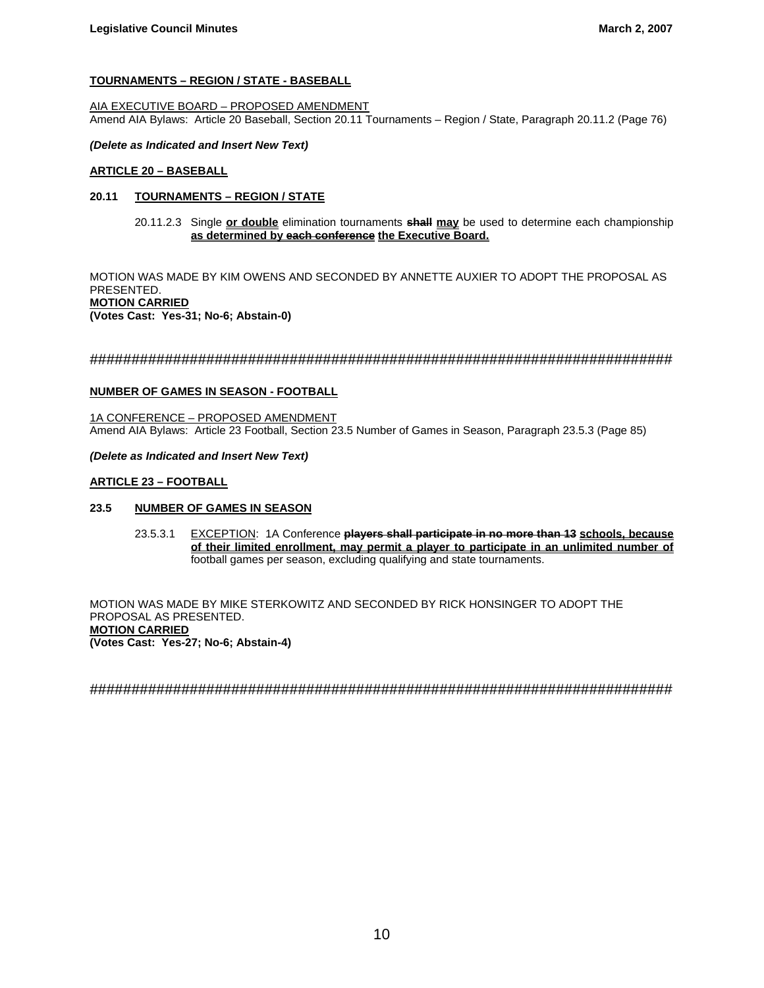## **TOURNAMENTS – REGION / STATE - BASEBALL**

AIA EXECUTIVE BOARD – PROPOSED AMENDMENT Amend AIA Bylaws: Article 20 Baseball, Section 20.11 Tournaments – Region / State, Paragraph 20.11.2 (Page 76)

#### *(Delete as Indicated and Insert New Text)*

#### **ARTICLE 20 – BASEBALL**

## **20.11 TOURNAMENTS – REGION / STATE**

 20.11.2.3 Single **or double** elimination tournaments **shall may** be used to determine each championship **as determined by each conference the Executive Board.**

MOTION WAS MADE BY KIM OWENS AND SECONDED BY ANNETTE AUXIER TO ADOPT THE PROPOSAL AS PRESENTED. **MOTION CARRIED (Votes Cast: Yes-31; No-6; Abstain-0)**

######################################################################

#### **NUMBER OF GAMES IN SEASON - FOOTBALL**

1A CONFERENCE – PROPOSED AMENDMENT Amend AIA Bylaws: Article 23 Football, Section 23.5 Number of Games in Season, Paragraph 23.5.3 (Page 85)

#### *(Delete as Indicated and Insert New Text)*

#### **ARTICLE 23 – FOOTBALL**

## **23.5 NUMBER OF GAMES IN SEASON**

 23.5.3.1 EXCEPTION: 1A Conference **players shall participate in no more than 13 schools, because of their limited enrollment, may permit a player to participate in an unlimited number of** football games per season, excluding qualifying and state tournaments.

MOTION WAS MADE BY MIKE STERKOWITZ AND SECONDED BY RICK HONSINGER TO ADOPT THE PROPOSAL AS PRESENTED. **MOTION CARRIED (Votes Cast: Yes-27; No-6; Abstain-4)**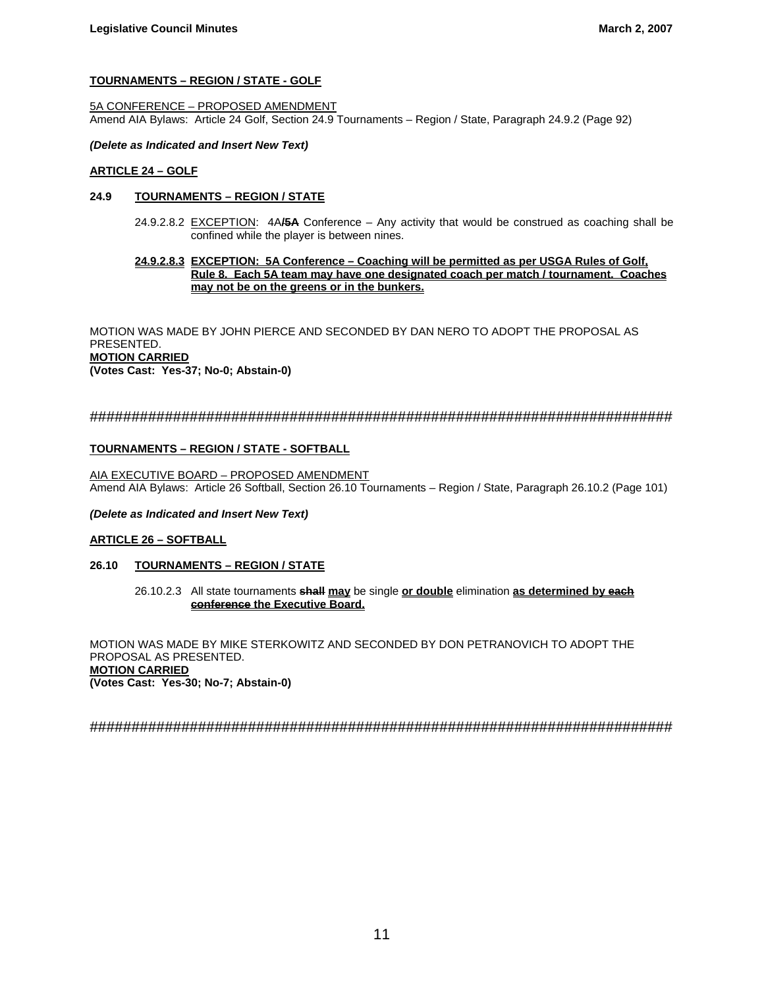## **TOURNAMENTS – REGION / STATE - GOLF**

5A CONFERENCE – PROPOSED AMENDMENT Amend AIA Bylaws: Article 24 Golf, Section 24.9 Tournaments – Region / State, Paragraph 24.9.2 (Page 92)

#### *(Delete as Indicated and Insert New Text)*

#### **ARTICLE 24 – GOLF**

## **24.9 TOURNAMENTS – REGION / STATE**

 24.9.2.8.2 EXCEPTION: 4A**/5A** Conference – Any activity that would be construed as coaching shall be confined while the player is between nines.

## **24.9.2.8.3 EXCEPTION: 5A Conference – Coaching will be permitted as per USGA Rules of Golf, Rule 8. Each 5A team may have one designated coach per match / tournament. Coaches may not be on the greens or in the bunkers.**

MOTION WAS MADE BY JOHN PIERCE AND SECONDED BY DAN NERO TO ADOPT THE PROPOSAL AS PRESENTED. **MOTION CARRIED (Votes Cast: Yes-37; No-0; Abstain-0)**

## ######################################################################

## **TOURNAMENTS – REGION / STATE - SOFTBALL**

AIA EXECUTIVE BOARD – PROPOSED AMENDMENT Amend AIA Bylaws: Article 26 Softball, Section 26.10 Tournaments – Region / State, Paragraph 26.10.2 (Page 101)

#### *(Delete as Indicated and Insert New Text)*

#### **ARTICLE 26 – SOFTBALL**

## **26.10 TOURNAMENTS – REGION / STATE**

26.10.2.3 All state tournaments **shall may** be single **or double** elimination **as determined by each conference the Executive Board.**

MOTION WAS MADE BY MIKE STERKOWITZ AND SECONDED BY DON PETRANOVICH TO ADOPT THE PROPOSAL AS PRESENTED. **MOTION CARRIED (Votes Cast: Yes-30; No-7; Abstain-0)**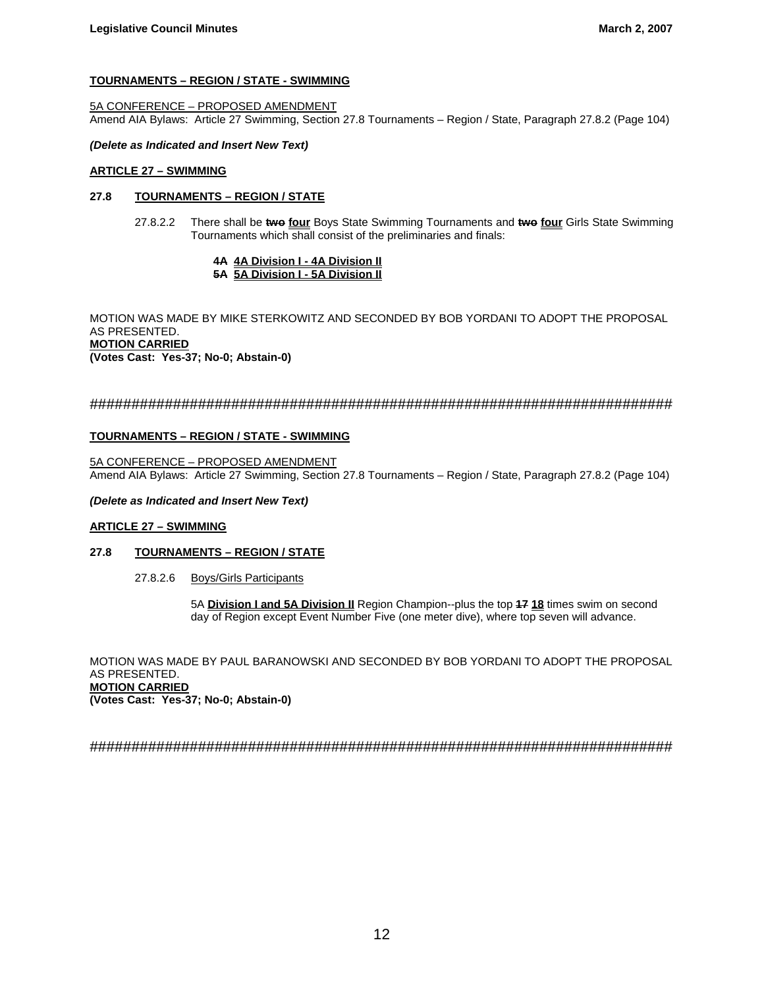## **TOURNAMENTS – REGION / STATE - SWIMMING**

## 5A CONFERENCE – PROPOSED AMENDMENT

Amend AIA Bylaws: Article 27 Swimming, Section 27.8 Tournaments – Region / State, Paragraph 27.8.2 (Page 104)

#### *(Delete as Indicated and Insert New Text)*

## **ARTICLE 27 – SWIMMING**

## **27.8 TOURNAMENTS – REGION / STATE**

 27.8.2.2 There shall be **two four** Boys State Swimming Tournaments and **two four** Girls State Swimming Tournaments which shall consist of the preliminaries and finals:

#### **4A 4A Division I - 4A Division II 5A 5A Division I - 5A Division II**

MOTION WAS MADE BY MIKE STERKOWITZ AND SECONDED BY BOB YORDANI TO ADOPT THE PROPOSAL AS PRESENTED. **MOTION CARRIED (Votes Cast: Yes-37; No-0; Abstain-0)**

## ######################################################################

## **TOURNAMENTS – REGION / STATE - SWIMMING**

5A CONFERENCE – PROPOSED AMENDMENT Amend AIA Bylaws: Article 27 Swimming, Section 27.8 Tournaments – Region / State, Paragraph 27.8.2 (Page 104)

## *(Delete as Indicated and Insert New Text)*

## **ARTICLE 27 – SWIMMING**

## **27.8 TOURNAMENTS – REGION / STATE**

27.8.2.6 Boys/Girls Participants

5A **Division I and 5A Division II** Region Champion--plus the top **17 18** times swim on second day of Region except Event Number Five (one meter dive), where top seven will advance.

MOTION WAS MADE BY PAUL BARANOWSKI AND SECONDED BY BOB YORDANI TO ADOPT THE PROPOSAL AS PRESENTED. **MOTION CARRIED** 

**(Votes Cast: Yes-37; No-0; Abstain-0)**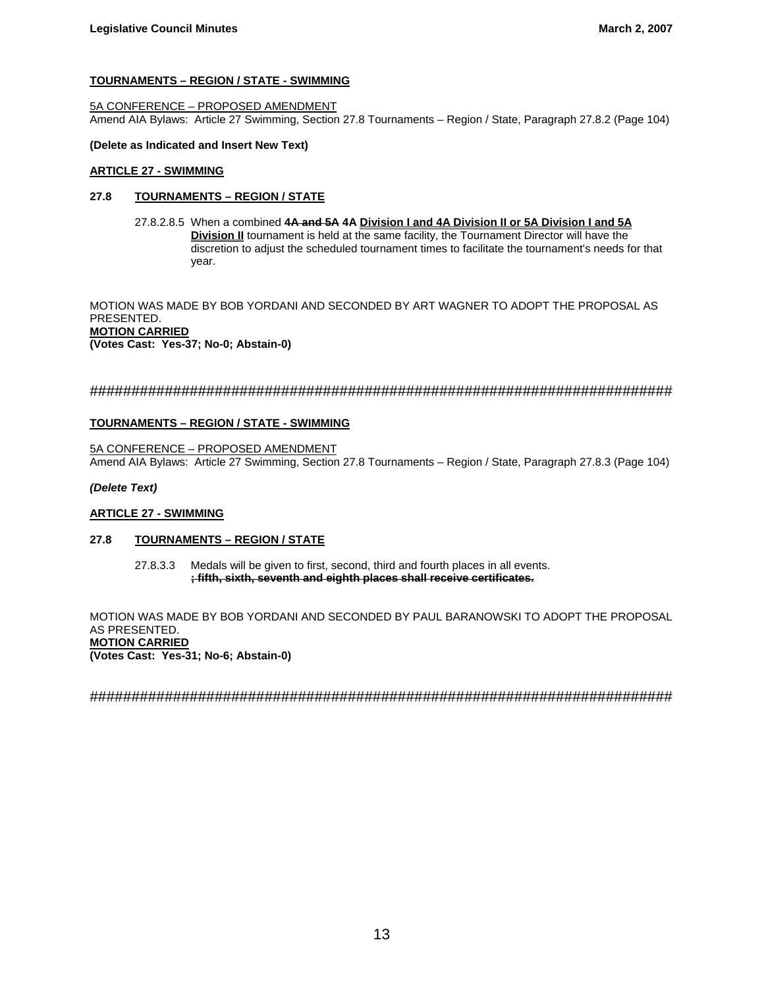## **TOURNAMENTS – REGION / STATE - SWIMMING**

## 5A CONFERENCE – PROPOSED AMENDMENT

Amend AIA Bylaws: Article 27 Swimming, Section 27.8 Tournaments – Region / State, Paragraph 27.8.2 (Page 104)

#### **(Delete as Indicated and Insert New Text)**

#### **ARTICLE 27 - SWIMMING**

## **27.8 TOURNAMENTS – REGION / STATE**

 27.8.2.8.5 When a combined **4A and 5A 4A Division I and 4A Division II or 5A Division I and 5A Division II** tournament is held at the same facility, the Tournament Director will have the discretion to adjust the scheduled tournament times to facilitate the tournament's needs for that year.

MOTION WAS MADE BY BOB YORDANI AND SECONDED BY ART WAGNER TO ADOPT THE PROPOSAL AS PRESENTED. **MOTION CARRIED (Votes Cast: Yes-37; No-0; Abstain-0)**

## ######################################################################

#### **TOURNAMENTS – REGION / STATE - SWIMMING**

5A CONFERENCE – PROPOSED AMENDMENT Amend AIA Bylaws: Article 27 Swimming, Section 27.8 Tournaments – Region / State, Paragraph 27.8.3 (Page 104)

#### *(Delete Text)*

## **ARTICLE 27 - SWIMMING**

## **27.8 TOURNAMENTS – REGION / STATE**

 27.8.3.3 Medals will be given to first, second, third and fourth places in all events. **; fifth, sixth, seventh and eighth places shall receive certificates.**

MOTION WAS MADE BY BOB YORDANI AND SECONDED BY PAUL BARANOWSKI TO ADOPT THE PROPOSAL AS PRESENTED. **MOTION CARRIED (Votes Cast: Yes-31; No-6; Abstain-0)**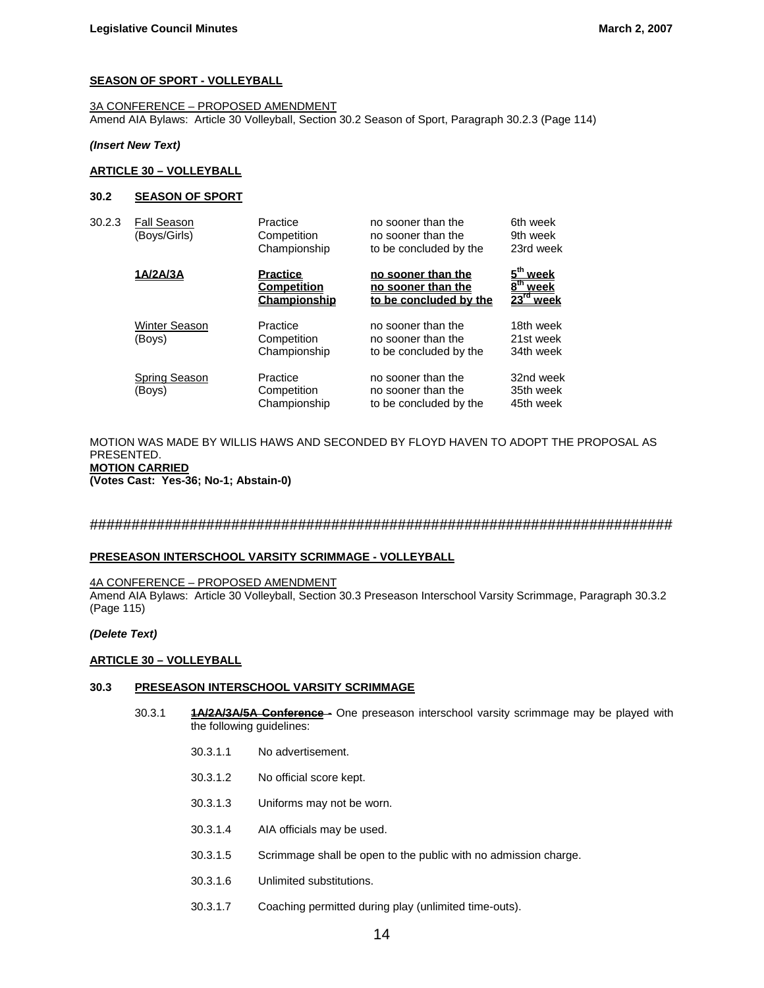#### **SEASON OF SPORT - VOLLEYBALL**

3A CONFERENCE – PROPOSED AMENDMENT Amend AIA Bylaws: Article 30 Volleyball, Section 30.2 Season of Sport, Paragraph 30.2.3 (Page 114)

#### *(Insert New Text)*

## **ARTICLE 30 – VOLLEYBALL**

#### **30.2 SEASON OF SPORT**

| 30.2.3 | <b>Fall Season</b><br>(Boys/Girls) | Practice<br>Competition<br>Championship               | no sooner than the<br>no sooner than the<br>to be concluded by the | 6th week<br>9th week<br>23rd week                                          |
|--------|------------------------------------|-------------------------------------------------------|--------------------------------------------------------------------|----------------------------------------------------------------------------|
|        | 1A/2A/3A                           | <b>Practice</b><br><b>Competition</b><br>Championship | no sooner than the<br>no sooner than the<br>to be concluded by the | 5 <sup>th</sup><br>week<br>$\overline{h}$<br>week<br>$23^{\text{rd}}$ week |
|        | <b>Winter Season</b><br>(Boys)     | Practice<br>Competition<br>Championship               | no sooner than the<br>no sooner than the<br>to be concluded by the | 18th week<br>21st week<br>34th week                                        |
|        | Spring Season<br>(Boys)            | Practice<br>Competition<br>Championship               | no sooner than the<br>no sooner than the<br>to be concluded by the | 32nd week<br>35th week<br>45th week                                        |

#### MOTION WAS MADE BY WILLIS HAWS AND SECONDED BY FLOYD HAVEN TO ADOPT THE PROPOSAL AS PRESENTED. **MOTION CARRIED (Votes Cast: Yes-36; No-1; Abstain-0)**

######################################################################

#### **PRESEASON INTERSCHOOL VARSITY SCRIMMAGE - VOLLEYBALL**

#### 4A CONFERENCE – PROPOSED AMENDMENT

Amend AIA Bylaws: Article 30 Volleyball, Section 30.3 Preseason Interschool Varsity Scrimmage, Paragraph 30.3.2 (Page 115)

#### *(Delete Text)*

#### **ARTICLE 30 – VOLLEYBALL**

#### **30.3 PRESEASON INTERSCHOOL VARSITY SCRIMMAGE**

- 30.3.1 **1A/2A/3A/5A Conference -** One preseason interschool varsity scrimmage may be played with the following guidelines:
	- 30.3.1.1 No advertisement.
	- 30.3.1.2 No official score kept.
	- 30.3.1.3 Uniforms may not be worn.
	- 30.3.1.4 AIA officials may be used.
	- 30.3.1.5 Scrimmage shall be open to the public with no admission charge.
	- 30.3.1.6 Unlimited substitutions.
	- 30.3.1.7 Coaching permitted during play (unlimited time-outs).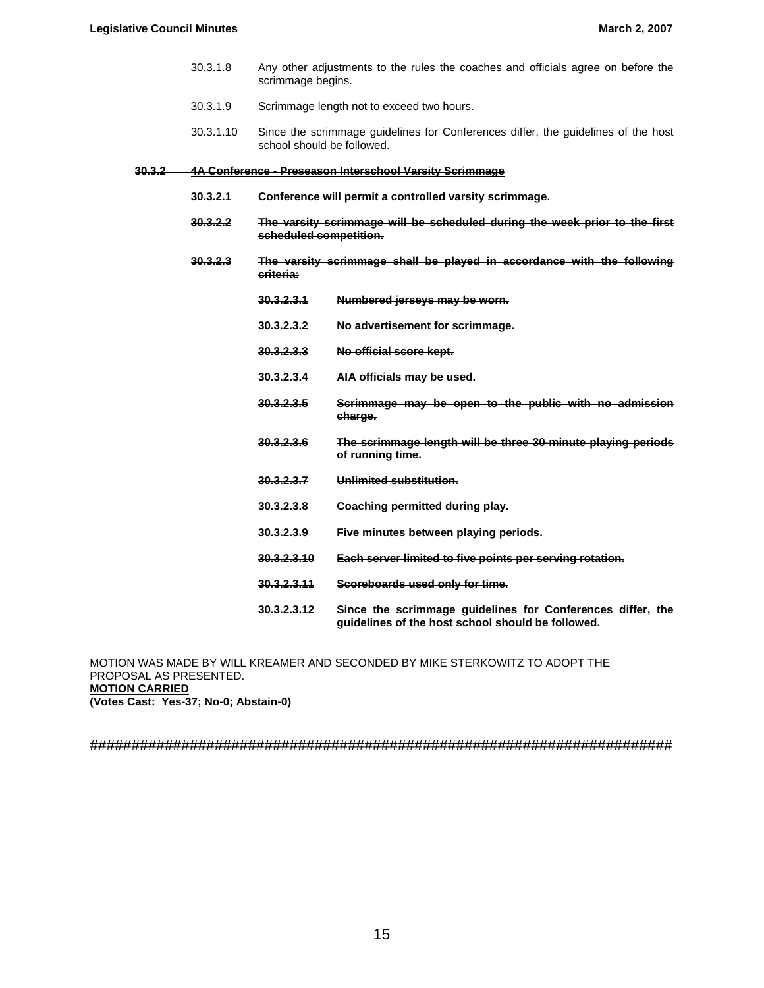- 30.3.1.8 Any other adjustments to the rules the coaches and officials agree on before the scrimmage begins.
- 30.3.1.9 Scrimmage length not to exceed two hours.
- 30.3.1.10 Since the scrimmage guidelines for Conferences differ, the guidelines of the host school should be followed.

#### **30.3.2 4A Conference - Preseason Interschool Varsity Scrimmage**

- **30.3.2.1 Conference will permit a controlled varsity scrimmage.**
- **30.3.2.2 The varsity scrimmage will be scheduled during the week prior to the first scheduled competition.**
- **30.3.2.3 The varsity scrimmage shall be played in accordance with the following criteria:**
	- **30.3.2.3.1 Numbered jerseys may be worn.**
	- **30.3.2.3.2 No advertisement for scrimmage.**
	- **30.3.2.3.3 No official score kept.**
	- **30.3.2.3.4 AIA officials may be used.**
	- **30.3.2.3.5 Scrimmage may be open to the public with no admission charge.**
		- **30.3.2.3.6 The scrimmage length will be three 30-minute playing periods of running time.**
		- **30.3.2.3.7 Unlimited substitution.**
		- **30.3.2.3.8 Coaching permitted during play.**
		- **30.3.2.3.9 Five minutes between playing periods.**
		- **30.3.2.3.10 Each server limited to five points per serving rotation.**
		- **30.3.2.3.11 Scoreboards used only for time.**
		- **30.3.2.3.12 Since the scrimmage guidelines for Conferences differ, the guidelines of the host school should be followed.**

MOTION WAS MADE BY WILL KREAMER AND SECONDED BY MIKE STERKOWITZ TO ADOPT THE PROPOSAL AS PRESENTED. **MOTION CARRIED (Votes Cast: Yes-37; No-0; Abstain-0)**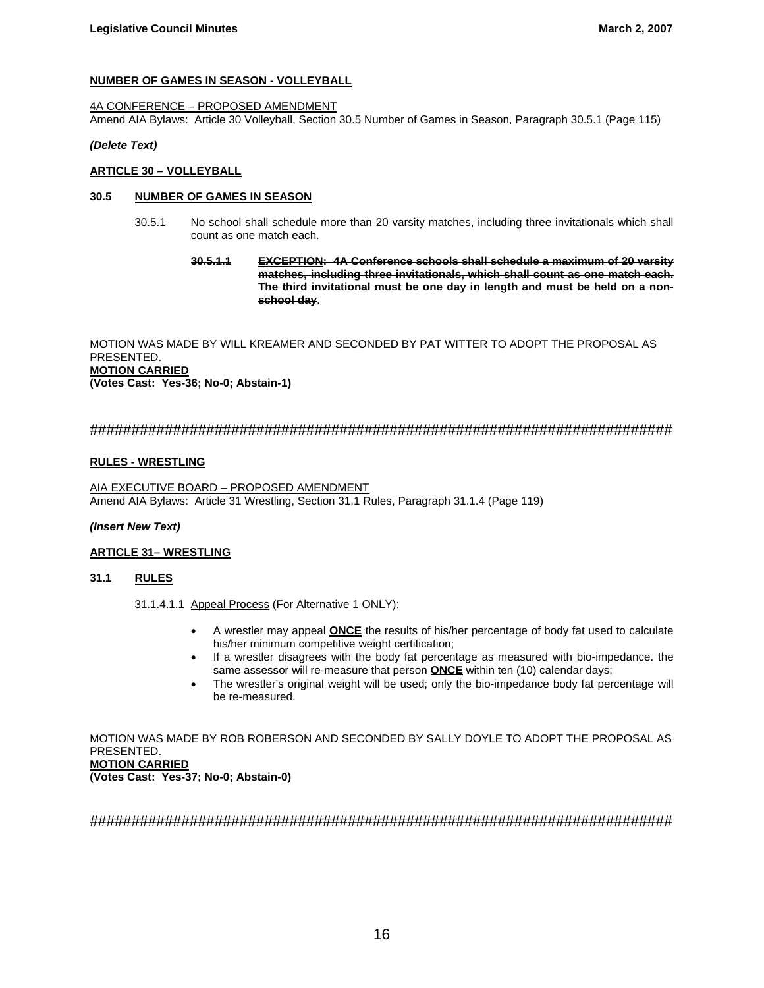## **NUMBER OF GAMES IN SEASON - VOLLEYBALL**

## 4A CONFERENCE – PROPOSED AMENDMENT

Amend AIA Bylaws: Article 30 Volleyball, Section 30.5 Number of Games in Season, Paragraph 30.5.1 (Page 115)

## *(Delete Text)*

## **ARTICLE 30 – VOLLEYBALL**

## **30.5 NUMBER OF GAMES IN SEASON**

- 30.5.1 No school shall schedule more than 20 varsity matches, including three invitationals which shall count as one match each.
	- **30.5.1.1 EXCEPTION: 4A Conference schools shall schedule a maximum of 20 varsity matches, including three invitationals, which shall count as one match each. The third invitational must be one day in length and must be held on a nonschool day**.

MOTION WAS MADE BY WILL KREAMER AND SECONDED BY PAT WITTER TO ADOPT THE PROPOSAL AS PRESENTED. **MOTION CARRIED (Votes Cast: Yes-36; No-0; Abstain-1)**

## ######################################################################

## **RULES - WRESTLING**

AIA EXECUTIVE BOARD – PROPOSED AMENDMENT Amend AIA Bylaws: Article 31 Wrestling, Section 31.1 Rules, Paragraph 31.1.4 (Page 119)

## *(Insert New Text)*

## **ARTICLE 31– WRESTLING**

## **31.1 RULES**

31.1.4.1.1 Appeal Process (For Alternative 1 ONLY):

- A wrestler may appeal **ONCE** the results of his/her percentage of body fat used to calculate his/her minimum competitive weight certification;
- If a wrestler disagrees with the body fat percentage as measured with bio-impedance. the same assessor will re-measure that person **ONCE** within ten (10) calendar days;
- The wrestler's original weight will be used; only the bio-impedance body fat percentage will be re-measured.

MOTION WAS MADE BY ROB ROBERSON AND SECONDED BY SALLY DOYLE TO ADOPT THE PROPOSAL AS PRESENTED. **MOTION CARRIED (Votes Cast: Yes-37; No-0; Abstain-0)**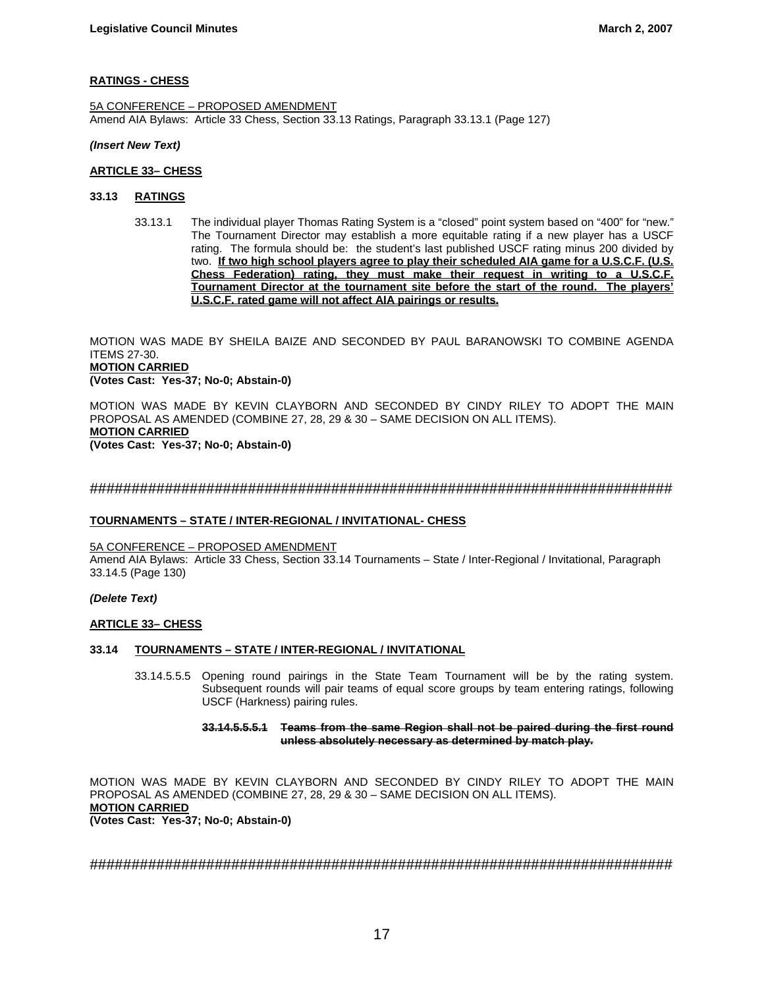## **RATINGS - CHESS**

5A CONFERENCE – PROPOSED AMENDMENT Amend AIA Bylaws: Article 33 Chess, Section 33.13 Ratings, Paragraph 33.13.1 (Page 127)

#### *(Insert New Text)*

#### **ARTICLE 33– CHESS**

#### **33.13 RATINGS**

33.13.1 The individual player Thomas Rating System is a "closed" point system based on "400" for "new." The Tournament Director may establish a more equitable rating if a new player has a USCF rating. The formula should be: the student's last published USCF rating minus 200 divided by two. **If two high school players agree to play their scheduled AIA game for a U.S.C.F. (U.S. Chess Federation) rating, they must make their request in writing to a U.S.C.F. Tournament Director at the tournament site before the start of the round. The players' U.S.C.F. rated game will not affect AIA pairings or results.**

MOTION WAS MADE BY SHEILA BAIZE AND SECONDED BY PAUL BARANOWSKI TO COMBINE AGENDA ITEMS 27-30. **MOTION CARRIED** 

## **(Votes Cast: Yes-37; No-0; Abstain-0)**

MOTION WAS MADE BY KEVIN CLAYBORN AND SECONDED BY CINDY RILEY TO ADOPT THE MAIN PROPOSAL AS AMENDED (COMBINE 27, 28, 29 & 30 – SAME DECISION ON ALL ITEMS). **MOTION CARRIED**

**(Votes Cast: Yes-37; No-0; Abstain-0)**

## ######################################################################

## **TOURNAMENTS – STATE / INTER-REGIONAL / INVITATIONAL- CHESS**

## 5A CONFERENCE – PROPOSED AMENDMENT

Amend AIA Bylaws: Article 33 Chess, Section 33.14 Tournaments – State / Inter-Regional / Invitational, Paragraph 33.14.5 (Page 130)

#### *(Delete Text)*

## **ARTICLE 33– CHESS**

#### **33.14 TOURNAMENTS – STATE / INTER-REGIONAL / INVITATIONAL**

 33.14.5.5.5 Opening round pairings in the State Team Tournament will be by the rating system. Subsequent rounds will pair teams of equal score groups by team entering ratings, following USCF (Harkness) pairing rules.

#### **33.14.5.5.5.1 Teams from the same Region shall not be paired during the first round unless absolutely necessary as determined by match play.**

MOTION WAS MADE BY KEVIN CLAYBORN AND SECONDED BY CINDY RILEY TO ADOPT THE MAIN PROPOSAL AS AMENDED (COMBINE 27, 28, 29 & 30 – SAME DECISION ON ALL ITEMS). **MOTION CARRIED (Votes Cast: Yes-37; No-0; Abstain-0)**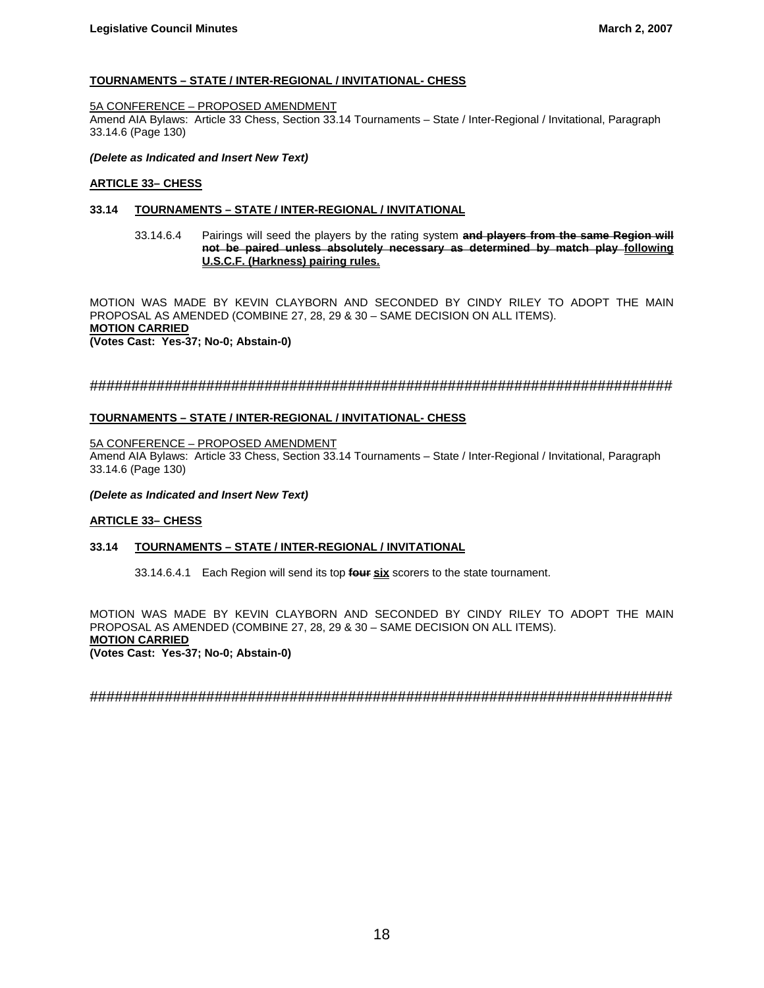## **TOURNAMENTS – STATE / INTER-REGIONAL / INVITATIONAL- CHESS**

#### 5A CONFERENCE – PROPOSED AMENDMENT

Amend AIA Bylaws: Article 33 Chess, Section 33.14 Tournaments – State / Inter-Regional / Invitational, Paragraph 33.14.6 (Page 130)

#### *(Delete as Indicated and Insert New Text)*

#### **ARTICLE 33– CHESS**

## **33.14 TOURNAMENTS – STATE / INTER-REGIONAL / INVITATIONAL**

33.14.6.4 Pairings will seed the players by the rating system **and players from the same Region will not be paired unless absolutely necessary as determined by match play following U.S.C.F. (Harkness) pairing rules.**

MOTION WAS MADE BY KEVIN CLAYBORN AND SECONDED BY CINDY RILEY TO ADOPT THE MAIN PROPOSAL AS AMENDED (COMBINE 27, 28, 29 & 30 – SAME DECISION ON ALL ITEMS). **MOTION CARRIED (Votes Cast: Yes-37; No-0; Abstain-0)**

## ######################################################################

## **TOURNAMENTS – STATE / INTER-REGIONAL / INVITATIONAL- CHESS**

#### 5A CONFERENCE – PROPOSED AMENDMENT

Amend AIA Bylaws: Article 33 Chess, Section 33.14 Tournaments – State / Inter-Regional / Invitational, Paragraph 33.14.6 (Page 130)

#### *(Delete as Indicated and Insert New Text)*

## **ARTICLE 33– CHESS**

## **33.14 TOURNAMENTS – STATE / INTER-REGIONAL / INVITATIONAL**

33.14.6.4.1 Each Region will send its top **four six** scorers to the state tournament.

MOTION WAS MADE BY KEVIN CLAYBORN AND SECONDED BY CINDY RILEY TO ADOPT THE MAIN PROPOSAL AS AMENDED (COMBINE 27, 28, 29 & 30 – SAME DECISION ON ALL ITEMS). **MOTION CARRIED**

**(Votes Cast: Yes-37; No-0; Abstain-0)**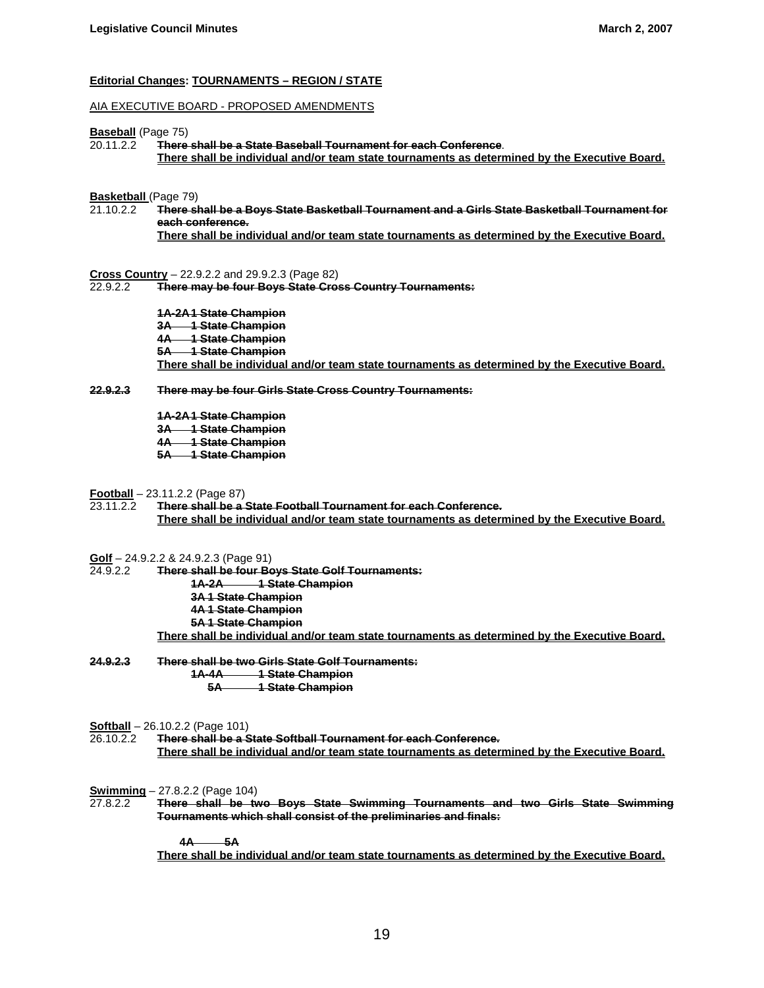#### **Editorial Changes: TOURNAMENTS – REGION / STATE**

#### AIA EXECUTIVE BOARD - PROPOSED AMENDMENTS

#### **Baseball** (Page 75)

20.11.2.2 **There shall be a State Baseball Tournament for each Conference**. **There shall be individual and/or team state tournaments as determined by the Executive Board.**

#### **Basketball** (Page 79)

21.10.2.2 **There shall be a Boys State Basketball Tournament and a Girls State Basketball Tournament for each conference. There shall be individual and/or team state tournaments as determined by the Executive Board.**

# **Cross Country** – 22.9.2.2 and 29.9.2.3 (Page 82)

 $\overline{\phantom{a}}$  There may be four Boys State Cross Country Tournaments:

 **1A-2A1 State Champion 3A 1 State Champion 4A 1 State Champion 5A 1 State Champion There shall be individual and/or team state tournaments as determined by the Executive Board.**

**22.9.2.3 There may be four Girls State Cross Country Tournaments:**

**1A-2A1 State Champion 3A 1 State Champion 4A 1 State Champion 5A 1 State Champion**

**Football** – 23.11.2.2 (Page 87)

23.11.2.2 **There shall be a State Football Tournament for each Conference. There shall be individual and/or team state tournaments as determined by the Executive Board.**

**Golf** – 24.9.2.2 & 24.9.2.3 (Page 91)<br>24.9.2.2 **There shall be four Be** 

24.9.2.2 **There shall be four Boys State Golf Tournaments: 1A-2A 1 State Champion 3A 1 State Champion 4A 1 State Champion 5A 1 State Champion**

**There shall be individual and/or team state tournaments as determined by the Executive Board.**

**24.9.2.3 There shall be two Girls State Golf Tournaments: 1A-4A 1 State Champion 5A 1 State Champion**

**Softball** – 26.10.2.2 (Page 101)

26.10.2.2 **There shall be a State Softball Tournament for each Conference. There shall be individual and/or team state tournaments as determined by the Executive Board.**

**Swimming** – 27.8.2.2 (Page 104)<br>27.8.2.2 **There shall be tv** 27.8.2.2 **There shall be two Boys State Swimming Tournaments and two Girls State Swimming Tournaments which shall consist of the preliminaries and finals:**

> **4A 5A There shall be individual and/or team state tournaments as determined by the Executive Board.**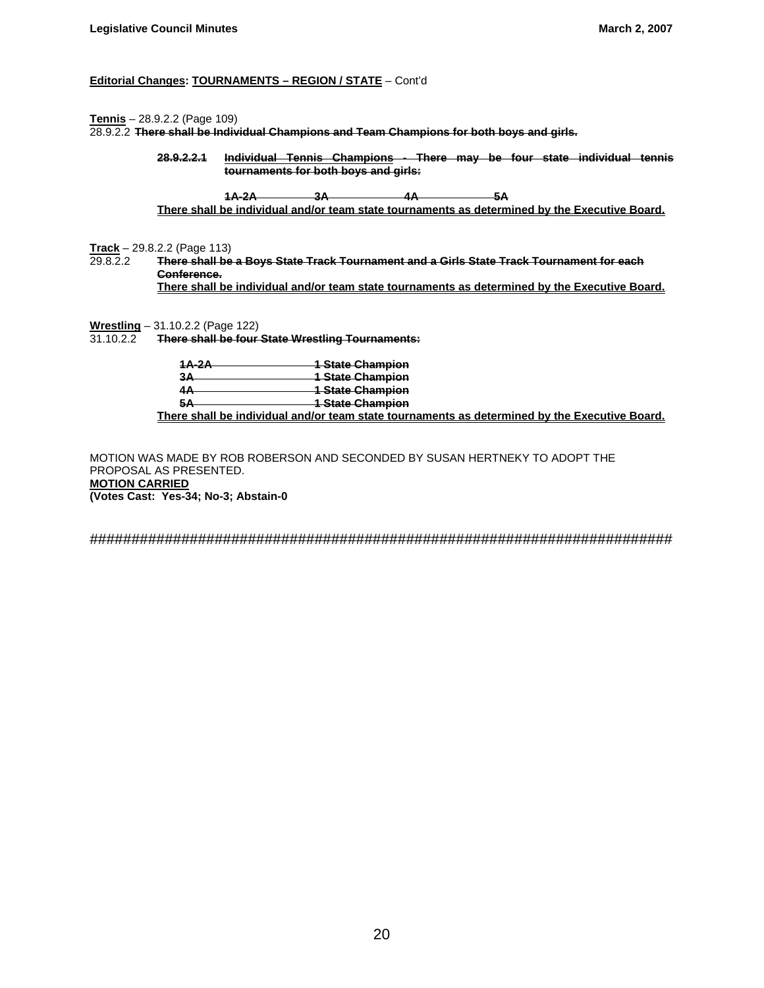## **Editorial Changes: TOURNAMENTS – REGION / STATE** – Cont'd

**Tennis** – 28.9.2.2 (Page 109)

28.9.2.2 **There shall be Individual Champions and Team Champions for both boys and girls.**

 **28.9.2.2.1 Individual Tennis Champions - There may be four state individual tennis tournaments for both boys and girls:**

 **1A-2A 3A 4A 5A There shall be individual and/or team state tournaments as determined by the Executive Board.**

**Track** – 29.8.2.2 (Page 113)<br>29.8.2.2 **There shall be** 

29.8.2.2 **There shall be a Boys State Track Tournament and a Girls State Track Tournament for each Conference. There shall be individual and/or team state tournaments as determined by the Executive Board.**

**Wrestling** – 31.10.2.2 (Page 122)<br>31.10.2.2 **There shall be four** 

31.10.2.2 **There shall be four State Wrestling Tournaments:**

| 1A-2A          | <del>1 State Champion</del>                                                            |  |
|----------------|----------------------------------------------------------------------------------------|--|
| <b>34</b><br>⊶ | <b>1 State Champion</b>                                                                |  |
|                | <b>1 State Champion</b>                                                                |  |
| $\mathbf{H}$   | <del>1 State Champion</del>                                                            |  |
|                | Thispanical all best for direct about an allaw theory intertainment and an allahed all |  |

**There shall be individual and/or team state tournaments as determined by the Executive Board.**

MOTION WAS MADE BY ROB ROBERSON AND SECONDED BY SUSAN HERTNEKY TO ADOPT THE PROPOSAL AS PRESENTED. **MOTION CARRIED (Votes Cast: Yes-34; No-3; Abstain-0**